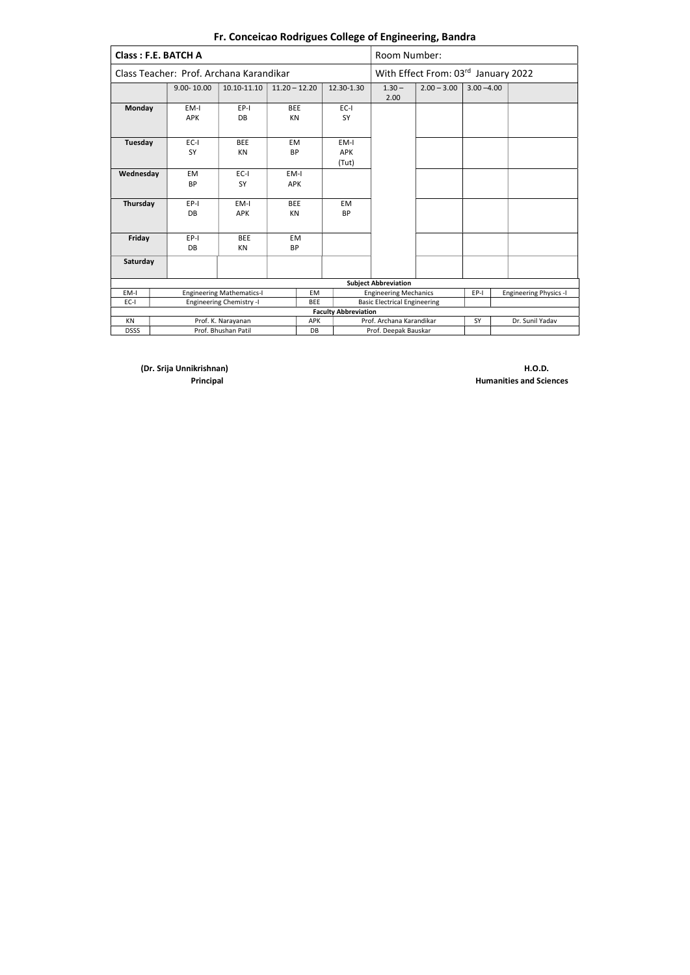|                                               | <b>Class: F.E. BATCH A</b>              |                                  |                 |            |                                                   | Room Number:                                                          |                                     |               |  |  |
|-----------------------------------------------|-----------------------------------------|----------------------------------|-----------------|------------|---------------------------------------------------|-----------------------------------------------------------------------|-------------------------------------|---------------|--|--|
|                                               | Class Teacher: Prof. Archana Karandikar |                                  |                 |            |                                                   |                                                                       | With Effect From: 03rd January 2022 |               |  |  |
|                                               | $9.00 - 10.00$                          | 10.10-11.10                      | $11.20 - 12.20$ |            | 12.30-1.30                                        | $1.30 -$<br>2.00                                                      | $2.00 - 3.00$                       | $3.00 - 4.00$ |  |  |
| <b>Monday</b>                                 | EM-I                                    | $EP-I$                           | <b>BEE</b>      |            | $EC-I$                                            |                                                                       |                                     |               |  |  |
|                                               | <b>APK</b>                              | DB                               | KN              |            | SY                                                |                                                                       |                                     |               |  |  |
|                                               |                                         |                                  |                 |            |                                                   |                                                                       |                                     |               |  |  |
| Tuesday                                       | EC-I                                    | <b>BEE</b>                       | EM              |            | EM-I                                              |                                                                       |                                     |               |  |  |
|                                               | <b>SY</b>                               | KN                               | <b>BP</b>       |            | <b>APK</b>                                        |                                                                       |                                     |               |  |  |
|                                               |                                         |                                  |                 |            | (Tut)                                             |                                                                       |                                     |               |  |  |
| Wednesday                                     | <b>EM</b>                               | $EC-I$                           | EM-I            |            |                                                   |                                                                       |                                     |               |  |  |
|                                               | <b>BP</b>                               | <b>SY</b>                        | <b>APK</b>      |            |                                                   |                                                                       |                                     |               |  |  |
|                                               |                                         |                                  |                 |            |                                                   |                                                                       |                                     |               |  |  |
| Thursday                                      | EPI                                     | EM-I                             | <b>BEE</b>      |            | <b>EM</b>                                         |                                                                       |                                     |               |  |  |
|                                               | DB                                      | <b>APK</b>                       | KN              |            | <b>BP</b>                                         |                                                                       |                                     |               |  |  |
|                                               |                                         |                                  |                 |            |                                                   |                                                                       |                                     |               |  |  |
| Friday                                        | EP-I                                    | <b>BEE</b>                       | <b>EM</b>       |            |                                                   |                                                                       |                                     |               |  |  |
|                                               | DB                                      | KN                               | <b>BP</b>       |            |                                                   |                                                                       |                                     |               |  |  |
| Saturday                                      |                                         |                                  |                 |            |                                                   |                                                                       |                                     |               |  |  |
|                                               |                                         |                                  |                 |            |                                                   |                                                                       |                                     |               |  |  |
|                                               |                                         |                                  |                 |            |                                                   | <b>Subject Abbreviation</b>                                           |                                     |               |  |  |
| EM-I                                          |                                         | <b>Engineering Mathematics-I</b> |                 | <b>EM</b>  |                                                   | <b>Engineering Mechanics</b><br>EP-I<br><b>Engineering Physics -I</b> |                                     |               |  |  |
| EC-I                                          |                                         | <b>Engineering Chemistry -I</b>  |                 | <b>BEE</b> |                                                   | <b>Basic Electrical Engineering</b>                                   |                                     |               |  |  |
|                                               |                                         |                                  |                 |            | <b>Faculty Abbreviation</b>                       |                                                                       |                                     |               |  |  |
| <b>KN</b><br>Prof. K. Narayanan<br><b>APK</b> |                                         |                                  |                 |            | Prof. Archana Karandikar<br>Dr. Sunil Yadav<br>SY |                                                                       |                                     |               |  |  |
| <b>DSSS</b>                                   |                                         | Prof. Bhushan Patil              |                 | DB         |                                                   | Prof. Deepak Bauskar                                                  |                                     |               |  |  |

(Dr. Srija Unnikrishnan) H.O.D.

**Principal Humanities and Sciences**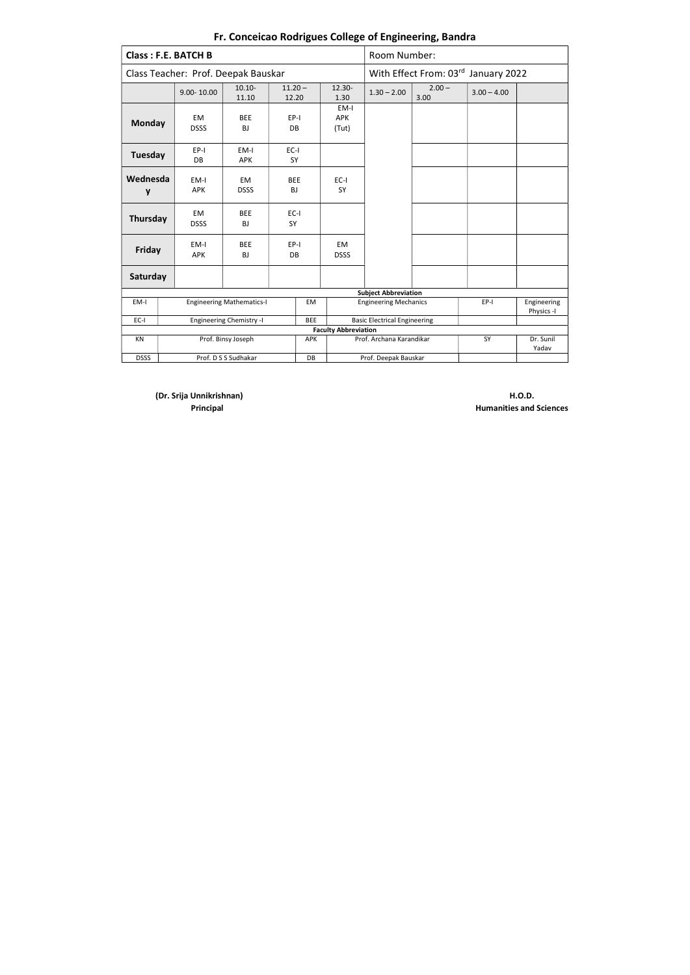(Dr. Srija Unnikrishnan) H.O.D.

**Principal Automatics and Sciences Principal** Humanities and Sciences

|                | <b>Class: F.E. BATCH B</b>                    |                                  |                     |           |                             | Room Number:                                        |                                     |               |                    |  |  |
|----------------|-----------------------------------------------|----------------------------------|---------------------|-----------|-----------------------------|-----------------------------------------------------|-------------------------------------|---------------|--------------------|--|--|
|                | Class Teacher: Prof. Deepak Bauskar           |                                  |                     |           |                             |                                                     | With Effect From: 03rd January 2022 |               |                    |  |  |
|                | $9.00 - 10.00$                                | $10.10 -$<br>11.10               | $11.20 -$<br>12.20  |           | $12.30 -$<br>1.30           | $1.30 - 2.00$                                       | $2.00 -$<br>3.00                    | $3.00 - 4.00$ |                    |  |  |
| <b>Monday</b>  | <b>EM</b><br><b>DSSS</b>                      | <b>BEE</b><br><b>BJ</b>          | EPI<br>DB           |           | EM-I<br><b>APK</b><br>(Tut) |                                                     |                                     |               |                    |  |  |
| <b>Tuesday</b> | EP-I<br><b>DB</b>                             | EM-I<br><b>APK</b>               | EC-I<br>SY          |           |                             |                                                     |                                     |               |                    |  |  |
| Wednesda<br>y  | EM-I<br>APK                                   | EM.<br><b>DSSS</b>               | <b>BEE</b><br>BJ    |           | $EC-I$<br>SY                |                                                     |                                     |               |                    |  |  |
| Thursday       | EM<br><b>DSSS</b>                             | <b>BEE</b><br><b>BJ</b>          | $EC-I$<br><b>SY</b> |           |                             |                                                     |                                     |               |                    |  |  |
| Friday         | EM-I<br><b>APK</b>                            | <b>BEE</b><br><b>BJ</b>          | EP-I<br>DB          |           | EM<br><b>DSSS</b>           |                                                     |                                     |               |                    |  |  |
| Saturday       |                                               |                                  |                     |           |                             |                                                     |                                     |               |                    |  |  |
|                |                                               |                                  |                     |           |                             | <b>Subject Abbreviation</b>                         |                                     |               |                    |  |  |
| EM-I           |                                               | <b>Engineering Mathematics-I</b> |                     | <b>EM</b> |                             | <b>Engineering Mechanics</b><br>EP-I<br>Engineering |                                     |               |                    |  |  |
| EC-I           | <b>Engineering Chemistry -I</b><br><b>BEE</b> |                                  |                     |           |                             | <b>Basic Electrical Engineering</b>                 |                                     |               |                    |  |  |
|                |                                               |                                  |                     |           | <b>Faculty Abbreviation</b> |                                                     |                                     |               |                    |  |  |
| KN             | Prof. Binsy Joseph<br><b>APK</b>              |                                  |                     |           |                             | Prof. Archana Karandikar                            |                                     | SY            | Dr. Sunil<br>Yadav |  |  |
| <b>DSSS</b>    |                                               | Prof. D S S Sudhakar             |                     | DB        |                             | Prof. Deepak Bauskar                                |                                     |               |                    |  |  |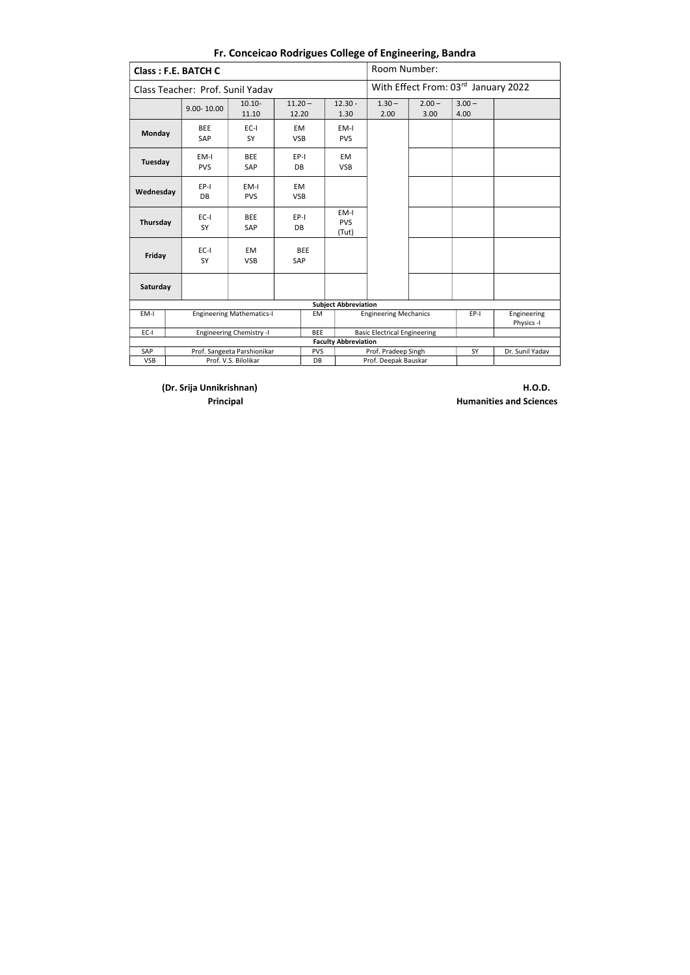(Dr. Srija Unnikrishnan) H.O.D.

**Principal Humanities and Sciences** 

| <b>Class: F.E. BATCH C</b>                       |                                  |                      |                    |                             |                             | Room Number:                        |                  |                                     |                           |
|--------------------------------------------------|----------------------------------|----------------------|--------------------|-----------------------------|-----------------------------|-------------------------------------|------------------|-------------------------------------|---------------------------|
|                                                  | Class Teacher: Prof. Sunil Yadav |                      |                    |                             |                             |                                     |                  | With Effect From: 03rd January 2022 |                           |
|                                                  | 9.00-10.00                       | $10.10 -$<br>11.10   | $11.20 -$<br>12.20 |                             | $12.30 -$<br>1.30           | $1.30 -$<br>2.00                    | $2.00 -$<br>3.00 | $3.00 -$<br>4.00                    |                           |
| Monday                                           | <b>BEE</b><br>SAP                | EC-I<br>SY           | EM<br><b>VSB</b>   |                             | EM-I<br><b>PVS</b>          |                                     |                  |                                     |                           |
| <b>Tuesday</b>                                   | EM-I<br><b>PVS</b>               | <b>BEE</b><br>SAP    | EP-I<br>DB         |                             | EM<br><b>VSB</b>            |                                     |                  |                                     |                           |
| Wednesday                                        | EP-I<br><b>DB</b>                | EM-I<br><b>PVS</b>   | EM<br><b>VSB</b>   |                             |                             |                                     |                  |                                     |                           |
| Thursday                                         | EC-I<br>SY                       | <b>BEE</b><br>SAP    | EP-I<br><b>DB</b>  |                             | EM-I<br><b>PVS</b><br>(Tut) |                                     |                  |                                     |                           |
| Friday                                           | $EC-I$<br>SY                     | EM<br><b>VSB</b>     | <b>BEE</b><br>SAP  |                             |                             |                                     |                  |                                     |                           |
| Saturday                                         |                                  |                      |                    |                             |                             |                                     |                  |                                     |                           |
|                                                  |                                  |                      |                    | <b>Subject Abbreviation</b> |                             |                                     |                  |                                     |                           |
| EM-I                                             | <b>Engineering Mathematics-I</b> |                      |                    |                             |                             | <b>Engineering Mechanics</b>        |                  | EP-I                                | Engineering<br>Physics -I |
| EC-I                                             | <b>Engineering Chemistry -I</b>  |                      |                    |                             |                             | <b>Basic Electrical Engineering</b> |                  |                                     |                           |
|                                                  |                                  |                      |                    |                             | <b>Faculty Abbreviation</b> |                                     |                  |                                     |                           |
| Prof. Sangeeta Parshionikar<br>SAP<br><b>PVS</b> |                                  |                      |                    |                             |                             | Prof. Pradeep Singh                 |                  | SY                                  | Dr. Sunil Yadav           |
| <b>VSB</b>                                       |                                  | Prof. V.S. Bilolikar |                    | DB                          |                             | Prof. Deepak Bauskar                |                  |                                     |                           |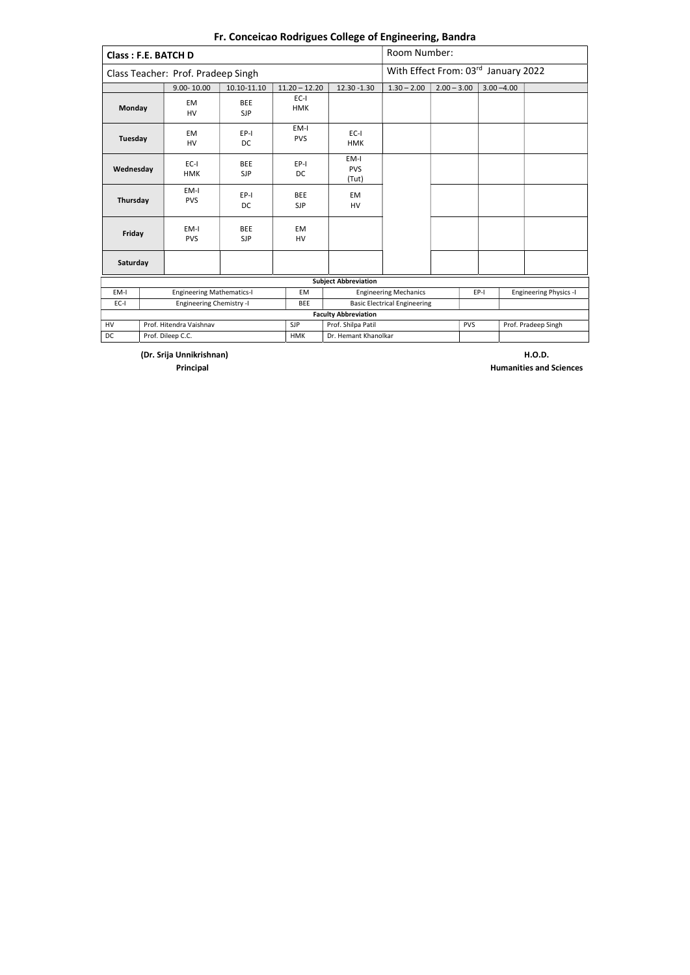| <b>Class: F.E. BATCH D</b>    |                          |                                    |                          |                          |                             | Room Number:                        |                                     |      |               |                               |  |  |
|-------------------------------|--------------------------|------------------------------------|--------------------------|--------------------------|-----------------------------|-------------------------------------|-------------------------------------|------|---------------|-------------------------------|--|--|
|                               |                          | Class Teacher: Prof. Pradeep Singh |                          |                          |                             |                                     | With Effect From: 03rd January 2022 |      |               |                               |  |  |
|                               |                          | $9.00 - 10.00$                     | 10.10-11.10              | $11.20 - 12.20$          | 12.30 - 1.30                | $1.30 - 2.00$                       | $2.00 - 3.00$                       |      | $3.00 - 4.00$ |                               |  |  |
| Monday                        |                          | EM<br>HV                           | <b>BEE</b><br><b>SJP</b> | $EC-I$<br><b>HMK</b>     |                             |                                     |                                     |      |               |                               |  |  |
| Tuesday                       |                          | <b>EM</b><br>HV                    | EP-I<br><b>DC</b>        | EM-I<br><b>PVS</b>       | EC-I<br><b>HMK</b>          |                                     |                                     |      |               |                               |  |  |
| Wednesday                     |                          | EC-I<br><b>HMK</b>                 | <b>BEE</b><br><b>SJP</b> | $EP-I$<br>DC             | EM-I<br><b>PVS</b><br>(Tut) |                                     |                                     |      |               |                               |  |  |
| Thursday                      |                          | EM-I<br><b>PVS</b>                 | EP-I<br><b>DC</b>        | <b>BEE</b><br><b>SJP</b> | <b>EM</b><br><b>HV</b>      |                                     |                                     |      |               |                               |  |  |
| Friday                        |                          | EM-I<br><b>PVS</b>                 | <b>BEE</b><br><b>SJP</b> | EM<br><b>HV</b>          |                             |                                     |                                     |      |               |                               |  |  |
| Saturday                      |                          |                                    |                          |                          |                             |                                     |                                     |      |               |                               |  |  |
|                               |                          |                                    |                          |                          | <b>Subject Abbreviation</b> |                                     |                                     |      |               |                               |  |  |
| EM-I                          |                          | <b>Engineering Mathematics-I</b>   |                          | <b>EM</b>                |                             | <b>Engineering Mechanics</b>        |                                     | EP-I |               | <b>Engineering Physics -I</b> |  |  |
| EC-I                          | Engineering Chemistry -I |                                    |                          | <b>BEE</b>               |                             | <b>Basic Electrical Engineering</b> |                                     |      |               |                               |  |  |
|                               |                          |                                    |                          |                          | <b>Faculty Abbreviation</b> |                                     |                                     |      |               |                               |  |  |
| HV<br>Prof. Hitendra Vaishnav |                          |                                    |                          | <b>SJP</b>               | Prof. Shilpa Patil          |                                     | <b>PVS</b>                          |      |               | Prof. Pradeep Singh           |  |  |
| DC                            |                          | Prof. Dileep C.C.                  |                          | <b>HMK</b>               | Dr. Hemant Khanolkar        |                                     |                                     |      |               |                               |  |  |

(Dr. Srija Unnikrishnan) H.O.D.

**Principal Humanities and Sciences**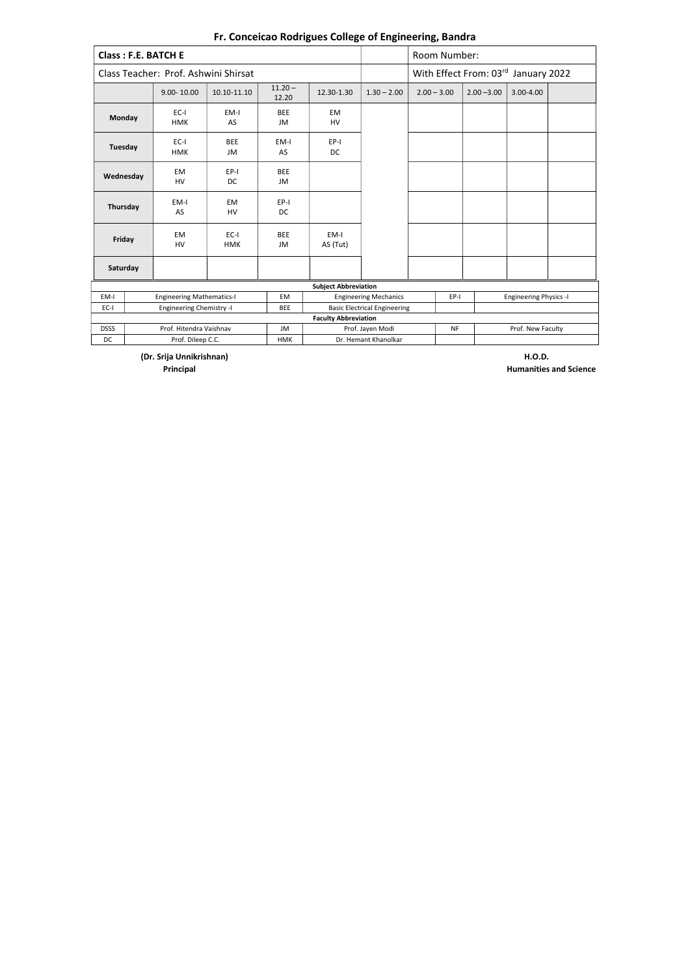(Dr. Srija Unnikrishnan) H.O.D.

**Principal Humanities and Science** 

|               | <b>Class: F.E. BATCH E</b>           |                        |                    |                             |                                     | Room Number:                          |               |           |  |
|---------------|--------------------------------------|------------------------|--------------------|-----------------------------|-------------------------------------|---------------------------------------|---------------|-----------|--|
|               | Class Teacher: Prof. Ashwini Shirsat |                        |                    |                             |                                     | With Effect From: 03rd January 2022   |               |           |  |
|               | $9.00 - 10.00$                       | 10.10-11.10            | $11.20 -$<br>12.20 | 12.30-1.30                  | $1.30 - 2.00$                       | $2.00 - 3.00$                         | $2.00 - 3.00$ | 3.00-4.00 |  |
| <b>Monday</b> | $EC-I$<br><b>HMK</b>                 | EM-I<br>AS             | <b>BEE</b><br>JM   | <b>EM</b><br>HV             |                                     |                                       |               |           |  |
| Tuesday       | $EC-I$<br><b>HMK</b>                 | <b>BEE</b><br>JM       | EM-I<br>AS         | EP-I<br>DC                  |                                     |                                       |               |           |  |
| Wednesday     | <b>EM</b><br><b>HV</b>               | EP-I<br><b>DC</b>      | <b>BEE</b><br>JM   |                             |                                     |                                       |               |           |  |
| Thursday      | EM-I<br>AS                           | <b>EM</b><br><b>HV</b> | EP-I<br><b>DC</b>  |                             |                                     |                                       |               |           |  |
| Friday        | <b>EM</b><br><b>HV</b>               | $EC-I$<br><b>HMK</b>   | <b>BEE</b><br>JM   | EM-I<br>AS (Tut)            |                                     |                                       |               |           |  |
| Saturday      |                                      |                        |                    |                             |                                     |                                       |               |           |  |
|               |                                      |                        |                    | <b>Subject Abbreviation</b> |                                     |                                       |               |           |  |
| EM-I          | <b>Engineering Mathematics-I</b>     |                        | <b>EM</b>          |                             | <b>Engineering Mechanics</b>        | EP-I<br><b>Engineering Physics -I</b> |               |           |  |
| $EC-I$        | <b>Engineering Chemistry -I</b>      |                        | <b>BEE</b>         |                             | <b>Basic Electrical Engineering</b> |                                       |               |           |  |
|               |                                      |                        |                    | <b>Faculty Abbreviation</b> |                                     |                                       |               |           |  |
| <b>DSSS</b>   | Prof. Hitendra Vaishnav              |                        | JM                 |                             | Prof. Jayen Modi                    | Prof. New Faculty<br><b>NF</b>        |               |           |  |
| <b>DC</b>     | Prof. Dileep C.C.                    |                        | <b>HMK</b>         |                             | Dr. Hemant Khanolkar                |                                       |               |           |  |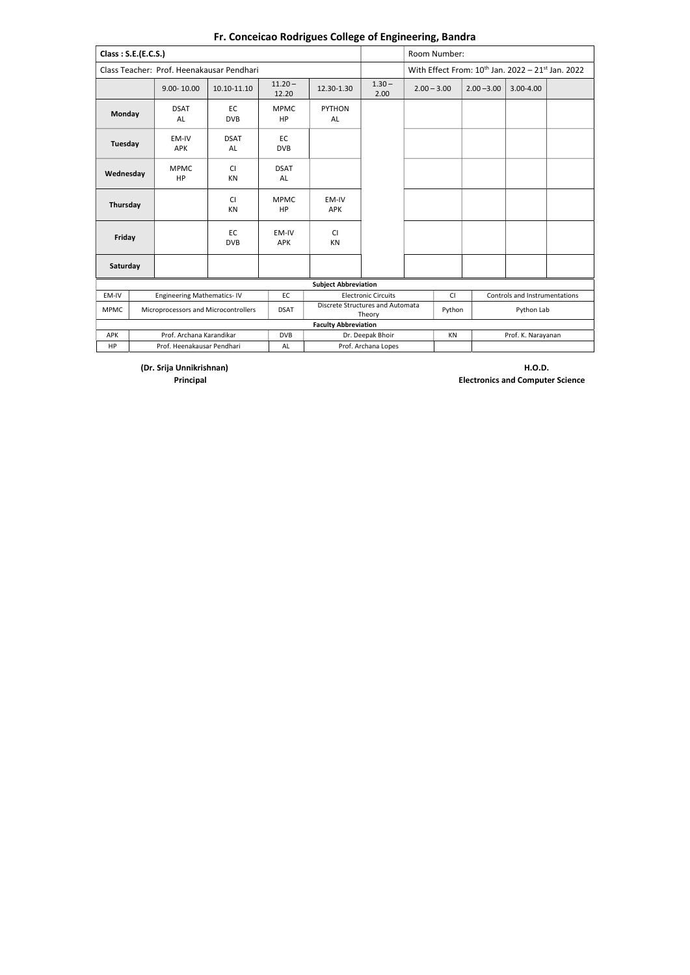(Dr. Srija Unnikrishnan) H.O.D. Principal Electronics and Computer Science

| Class: S.E.(E.C.S.) |                                      |                                           |                          |                             |                                            |                      | Room Number:             |                                                        |               |  |  |
|---------------------|--------------------------------------|-------------------------------------------|--------------------------|-----------------------------|--------------------------------------------|----------------------|--------------------------|--------------------------------------------------------|---------------|--|--|
|                     |                                      | Class Teacher: Prof. Heenakausar Pendhari |                          |                             |                                            |                      |                          | With Effect From: $10^{th}$ Jan. 2022 - 21st Jan. 2022 |               |  |  |
|                     | $9.00 - 10.00$                       | 10.10-11.10                               | $11.20 -$<br>12.20       | 12.30-1.30                  | $1.30 -$<br>2.00                           | $2.00 - 3.00$        |                          | $2.00 - 3.00$                                          | $3.00 - 4.00$ |  |  |
| Monday              | <b>DSAT</b><br>AL                    | EC<br><b>DVB</b>                          | <b>MPMC</b><br><b>HP</b> | <b>PYTHON</b><br>AL         |                                            |                      |                          |                                                        |               |  |  |
| Tuesday             | EM-IV<br><b>APK</b>                  | <b>DSAT</b><br>AL                         | EC<br><b>DVB</b>         |                             |                                            |                      |                          |                                                        |               |  |  |
| Wednesday           | <b>MPMC</b><br>HP                    | <b>CI</b><br>KN                           | <b>DSAT</b><br>AL        |                             |                                            |                      |                          |                                                        |               |  |  |
| Thursday            |                                      | <b>CI</b><br><b>KN</b>                    | <b>MPMC</b><br><b>HP</b> | EM-IV<br><b>APK</b>         |                                            |                      |                          |                                                        |               |  |  |
| Friday              |                                      | EC<br><b>DVB</b>                          | EM-IV<br><b>APK</b>      | <b>CI</b><br>KN             |                                            |                      |                          |                                                        |               |  |  |
| Saturday            |                                      |                                           |                          |                             |                                            |                      |                          |                                                        |               |  |  |
|                     |                                      |                                           |                          | <b>Subject Abbreviation</b> |                                            |                      |                          |                                                        |               |  |  |
| EM-IV               | <b>Engineering Mathematics-IV</b>    |                                           | EC                       |                             | <b>Electronic Circuits</b>                 |                      | <b>CI</b>                | Controls and Instrumentations                          |               |  |  |
| <b>MPMC</b>         | Microprocessors and Microcontrollers |                                           | <b>DSAT</b>              |                             | Discrete Structures and Automata<br>Theory | Python<br>Python Lab |                          |                                                        |               |  |  |
|                     |                                      |                                           |                          | <b>Faculty Abbreviation</b> |                                            |                      |                          |                                                        |               |  |  |
| <b>APK</b>          | Prof. Archana Karandikar             |                                           | <b>DVB</b>               |                             | Dr. Deepak Bhoir                           |                      | Prof. K. Narayanan<br>ΚN |                                                        |               |  |  |
| <b>HP</b>           | Prof. Heenakausar Pendhari           |                                           | AL                       |                             | Prof. Archana Lopes                        |                      |                          |                                                        |               |  |  |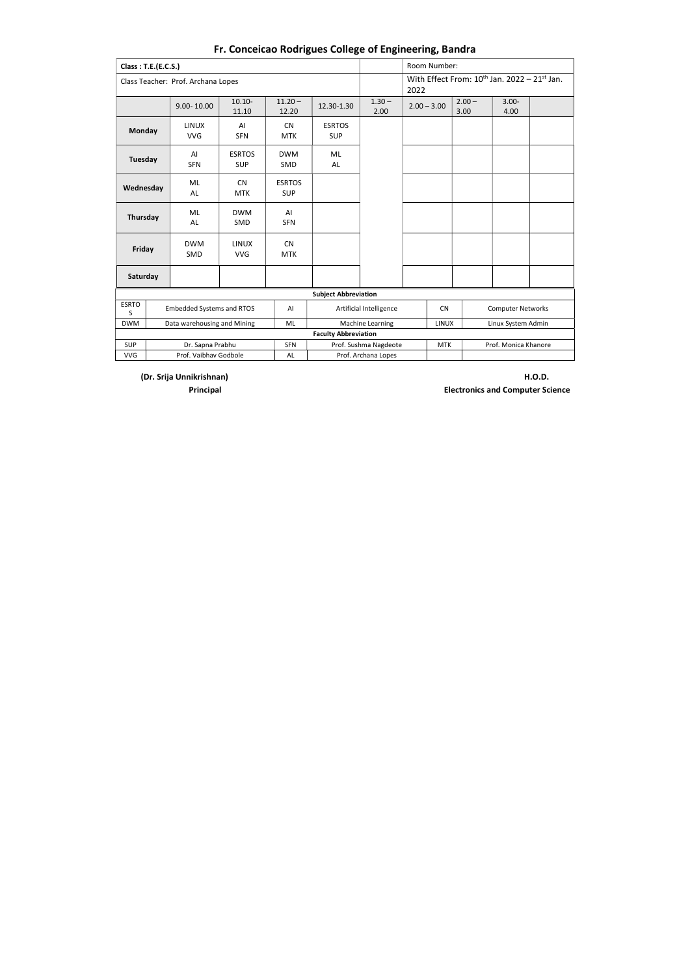| Class: T.E.(E.C.S.) |                                    |                             |                             |                             |                         |                                       | Room Number:  |                  |  |                                                   |  |  |
|---------------------|------------------------------------|-----------------------------|-----------------------------|-----------------------------|-------------------------|---------------------------------------|---------------|------------------|--|---------------------------------------------------|--|--|
|                     | Class Teacher: Prof. Archana Lopes |                             |                             |                             |                         | 2022                                  |               |                  |  | With Effect From: $10^{th}$ Jan. 2022 - 21st Jan. |  |  |
|                     | 9.00-10.00                         | $10.10 -$<br>11.10          | $11.20 -$<br>12.20          | 12.30-1.30                  | $1.30 -$<br>2.00        |                                       | $2.00 - 3.00$ | $2.00 -$<br>3.00 |  | $3.00 -$<br>4.00                                  |  |  |
| <b>Monday</b>       | <b>LINUX</b><br><b>VVG</b>         | AI<br><b>SFN</b>            | <b>CN</b><br><b>MTK</b>     | <b>ESRTOS</b><br><b>SUP</b> |                         |                                       |               |                  |  |                                                   |  |  |
| Tuesday             | AI<br><b>SFN</b>                   | <b>ESRTOS</b><br><b>SUP</b> | <b>DWM</b><br>SMD           | ML<br>AL                    |                         |                                       |               |                  |  |                                                   |  |  |
| Wednesday           | ML<br>AL                           | <b>CN</b><br><b>MTK</b>     | <b>ESRTOS</b><br><b>SUP</b> |                             |                         |                                       |               |                  |  |                                                   |  |  |
| Thursday            | ML<br><b>AL</b>                    | <b>DWM</b><br><b>SMD</b>    | AI<br><b>SFN</b>            |                             |                         |                                       |               |                  |  |                                                   |  |  |
| Friday              | <b>DWM</b><br><b>SMD</b>           | <b>LINUX</b><br><b>VVG</b>  | <b>CN</b><br><b>MTK</b>     |                             |                         |                                       |               |                  |  |                                                   |  |  |
| Saturday            |                                    |                             |                             |                             |                         |                                       |               |                  |  |                                                   |  |  |
|                     |                                    |                             |                             | <b>Subject Abbreviation</b> |                         |                                       |               |                  |  |                                                   |  |  |
| <b>ESRTO</b><br>S   | <b>Embedded Systems and RTOS</b>   |                             | AI                          |                             | Artificial Intelligence | <b>CN</b><br><b>Computer Networks</b> |               |                  |  |                                                   |  |  |
| <b>DWM</b>          | Data warehousing and Mining        |                             | ML                          |                             | Machine Learning        | <b>LINUX</b><br>Linux System Admin    |               |                  |  |                                                   |  |  |
|                     |                                    |                             |                             | <b>Faculty Abbreviation</b> |                         |                                       |               |                  |  |                                                   |  |  |
| <b>SUP</b>          | Dr. Sapna Prabhu                   |                             | <b>SFN</b>                  |                             | Prof. Sushma Nagdeote   | <b>MTK</b><br>Prof. Monica Khanore    |               |                  |  |                                                   |  |  |
| <b>VVG</b>          | Prof. Vaibhay Godbole              |                             | AL                          |                             | Prof. Archana Lopes     |                                       |               |                  |  |                                                   |  |  |

(Dr. Srija Unnikrishnan) H.O.D.

Principal Electronics and Computer Science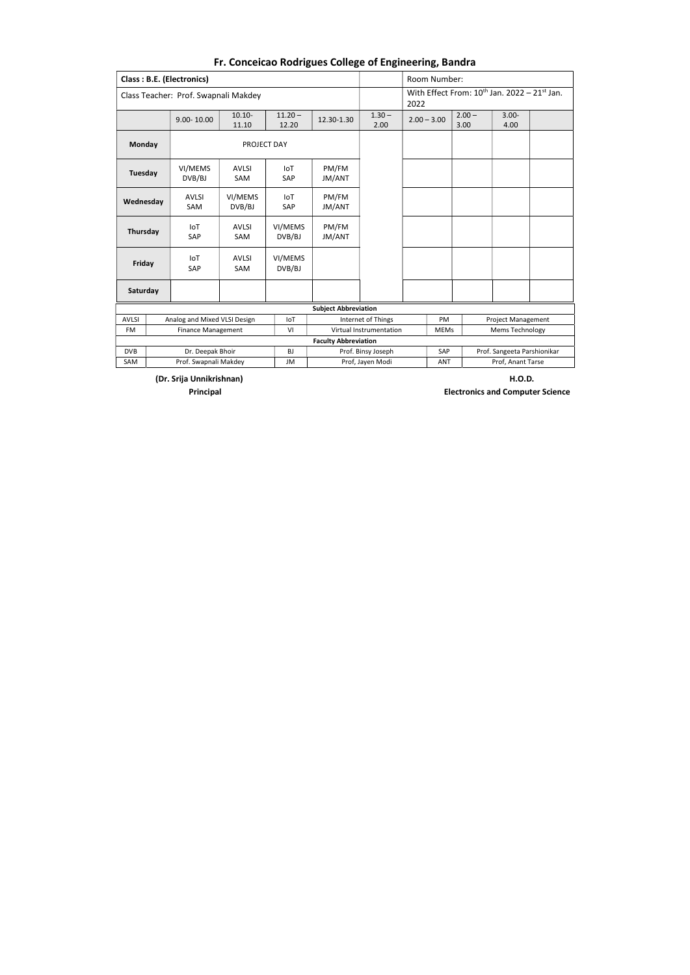(Dr. Srija Unnikrishnan) H.O.D.

|                                                                                                         |                                                                                              | <b>Class: B.E. (Electronics)</b>     |                            |                    |                             |                         | Room Number:                                              |                  |                        |  |
|---------------------------------------------------------------------------------------------------------|----------------------------------------------------------------------------------------------|--------------------------------------|----------------------------|--------------------|-----------------------------|-------------------------|-----------------------------------------------------------|------------------|------------------------|--|
|                                                                                                         |                                                                                              | Class Teacher: Prof. Swapnali Makdey |                            |                    |                             |                         | With Effect From: $10^{th}$ Jan. 2022 - 21st Jan.<br>2022 |                  |                        |  |
|                                                                                                         |                                                                                              | $9.00 - 10.00$                       | $10.10 -$<br>11.10         | $11.20 -$<br>12.20 | 12.30-1.30                  | $1.30 -$<br>2.00        | $2.00 - 3.00$                                             | $2.00 -$<br>3.00 | $3.00 -$<br>4.00       |  |
| Monday                                                                                                  |                                                                                              |                                      | PROJECT DAY                |                    |                             |                         |                                                           |                  |                        |  |
| <b>Tuesday</b>                                                                                          |                                                                                              | VI/MEMS<br>DVB/BJ                    | <b>AVLSI</b><br><b>SAM</b> | IoT<br>SAP         | PM/FM<br>JM/ANT             |                         |                                                           |                  |                        |  |
| Wednesday                                                                                               |                                                                                              | <b>AVLSI</b><br><b>SAM</b>           | VI/MEMS<br>DVB/BJ          | IoT<br><b>SAP</b>  | PM/FM<br><b>JM/ANT</b>      |                         |                                                           |                  |                        |  |
| Thursday                                                                                                |                                                                                              | IoT<br>SAP                           | <b>AVLSI</b><br>SAM        | VI/MEMS<br>DVB/BJ  | PM/FM<br>JM/ANT             |                         |                                                           |                  |                        |  |
| Friday                                                                                                  |                                                                                              | IoT<br><b>SAP</b>                    | <b>AVLSI</b><br>SAM        | VI/MEMS<br>DVB/BJ  |                             |                         |                                                           |                  |                        |  |
| Saturday                                                                                                |                                                                                              |                                      |                            |                    |                             |                         |                                                           |                  |                        |  |
|                                                                                                         |                                                                                              |                                      |                            |                    | <b>Subject Abbreviation</b> |                         |                                                           |                  |                        |  |
| <b>AVLSI</b>                                                                                            | PM<br>Analog and Mixed VLSI Design<br><b>IoT</b><br>Internet of Things<br>Project Management |                                      |                            |                    |                             |                         |                                                           |                  |                        |  |
| <b>FM</b>                                                                                               | <b>Finance Management</b><br>VI                                                              |                                      |                            |                    |                             | Virtual Instrumentation | <b>MEMs</b>                                               |                  | <b>Mems Technology</b> |  |
|                                                                                                         |                                                                                              |                                      |                            |                    | <b>Faculty Abbreviation</b> |                         |                                                           |                  |                        |  |
| <b>DVB</b><br>Dr. Deepak Bhoir<br><b>BJ</b><br>Prof. Binsy Joseph<br>SAP<br>Prof. Sangeeta Parshionikar |                                                                                              |                                      |                            |                    |                             |                         |                                                           |                  |                        |  |
| SAM                                                                                                     |                                                                                              | Prof. Swapnali Makdey                |                            | JM                 |                             | Prof, Jayen Modi        | <b>ANT</b>                                                |                  | Prof, Anant Tarse      |  |

Principal Electronics and Computer Science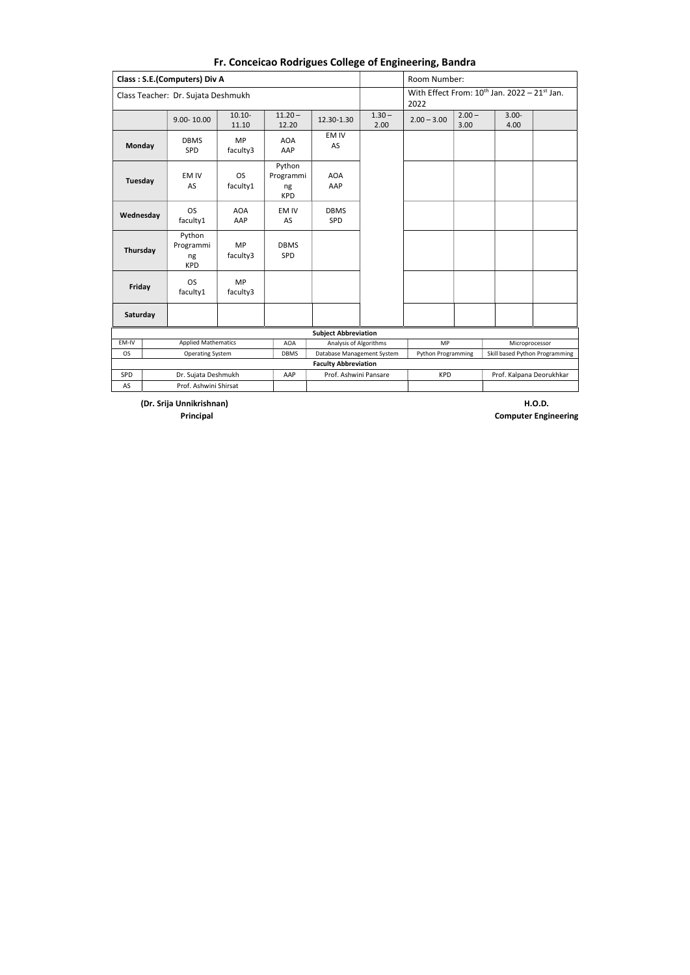(Dr. Srija Unnikrishnan) H.O.D.

|           |                                                                                                                                                                                                                                                                                                                                                                                                                                                                                                                                                                                                                                                     |                            |             |                             |                  | Room Number:  |                                                             |                  |  |
|-----------|-----------------------------------------------------------------------------------------------------------------------------------------------------------------------------------------------------------------------------------------------------------------------------------------------------------------------------------------------------------------------------------------------------------------------------------------------------------------------------------------------------------------------------------------------------------------------------------------------------------------------------------------------------|----------------------------|-------------|-----------------------------|------------------|---------------|-------------------------------------------------------------|------------------|--|
|           | <b>Class: S.E.(Computers) Div A</b><br>Class Teacher: Dr. Sujata Deshmukh<br>$10.10 -$<br>$11.20 -$<br>$9.00 - 10.00$<br>11.10<br>12.20<br>EM IV<br><b>MP</b><br><b>DBMS</b><br><b>AOA</b><br><b>Monday</b><br>AS<br>faculty3<br>AAP<br><b>SPD</b><br>Python<br><b>OS</b><br>Programmi<br><b>AOA</b><br>EM IV<br>Tuesday<br>faculty1<br>AAP<br>AS<br>ng<br><b>KPD</b><br><b>OS</b><br><b>AOA</b><br>EM IV<br><b>DBMS</b><br>Wednesday<br>faculty1<br>AS<br>SPD<br>AAP<br>Python<br><b>MP</b><br>Programmi<br><b>DBMS</b><br>Thursday<br>faculty3<br>SPD<br>ng<br><b>KPD</b><br><b>MP</b><br><b>OS</b><br>Friday<br>faculty1<br>faculty3<br>Saturday |                            |             |                             | 2022             |               | With Effect From: $10^{\text{th}}$ Jan. 2022 - 21st Jan.    |                  |  |
|           |                                                                                                                                                                                                                                                                                                                                                                                                                                                                                                                                                                                                                                                     |                            |             | 12.30-1.30                  | $1.30 -$<br>2.00 | $2.00 - 3.00$ | $2.00 -$<br>3.00                                            | $3.00 -$<br>4.00 |  |
|           |                                                                                                                                                                                                                                                                                                                                                                                                                                                                                                                                                                                                                                                     |                            |             |                             |                  |               |                                                             |                  |  |
|           |                                                                                                                                                                                                                                                                                                                                                                                                                                                                                                                                                                                                                                                     |                            |             |                             |                  |               |                                                             |                  |  |
|           |                                                                                                                                                                                                                                                                                                                                                                                                                                                                                                                                                                                                                                                     |                            |             |                             |                  |               |                                                             |                  |  |
|           |                                                                                                                                                                                                                                                                                                                                                                                                                                                                                                                                                                                                                                                     |                            |             |                             |                  |               |                                                             |                  |  |
|           |                                                                                                                                                                                                                                                                                                                                                                                                                                                                                                                                                                                                                                                     |                            |             |                             |                  |               |                                                             |                  |  |
|           |                                                                                                                                                                                                                                                                                                                                                                                                                                                                                                                                                                                                                                                     |                            |             |                             |                  |               |                                                             |                  |  |
|           |                                                                                                                                                                                                                                                                                                                                                                                                                                                                                                                                                                                                                                                     |                            |             | <b>Subject Abbreviation</b> |                  |               |                                                             |                  |  |
| EM-IV     |                                                                                                                                                                                                                                                                                                                                                                                                                                                                                                                                                                                                                                                     | <b>Applied Mathematics</b> | <b>AOA</b>  | Analysis of Algorithms      |                  | <b>MP</b>     |                                                             | Microprocessor   |  |
| <b>OS</b> |                                                                                                                                                                                                                                                                                                                                                                                                                                                                                                                                                                                                                                                     | <b>Operating System</b>    | <b>DBMS</b> | Database Management System  |                  |               | Skill based Python Programming<br><b>Python Programming</b> |                  |  |
|           |                                                                                                                                                                                                                                                                                                                                                                                                                                                                                                                                                                                                                                                     |                            |             | <b>Faculty Abbreviation</b> |                  |               |                                                             |                  |  |
| SPD       |                                                                                                                                                                                                                                                                                                                                                                                                                                                                                                                                                                                                                                                     | Dr. Sujata Deshmukh        | AAP         | Prof. Ashwini Pansare       |                  | <b>KPD</b>    | Prof. Kalpana Deorukhkar                                    |                  |  |
| AS        |                                                                                                                                                                                                                                                                                                                                                                                                                                                                                                                                                                                                                                                     | Prof. Ashwini Shirsat      |             |                             |                  |               |                                                             |                  |  |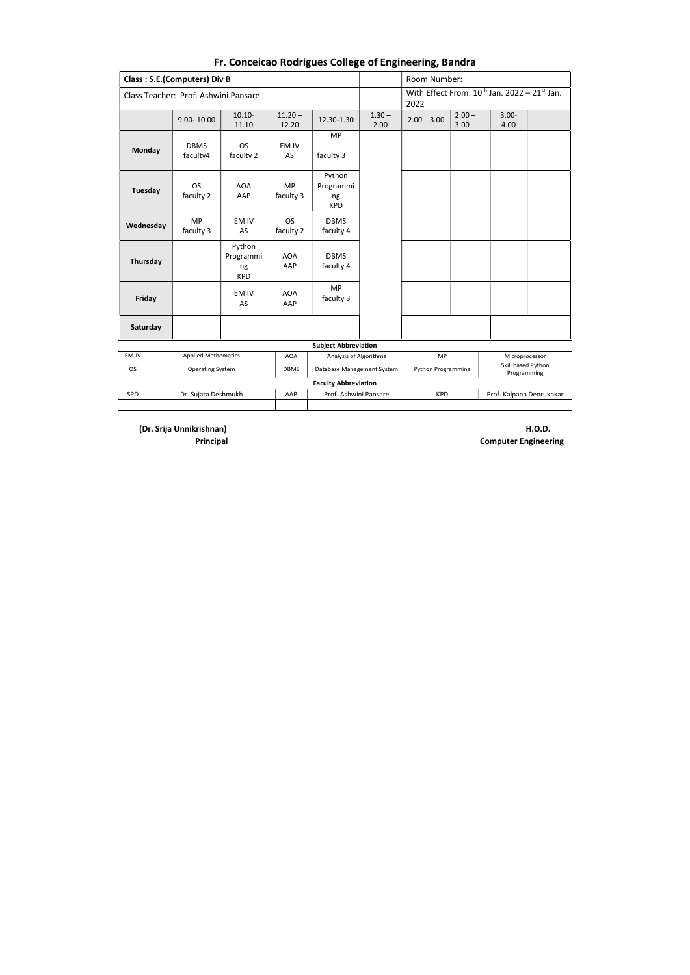(Dr. Srija Unnikrishnan) H.O.D.

|               |                                                                                                                                                                                                                                                                                                                                                                                                                                                                                       |                            |  |                             |                                                       |                  | Room Number:  |                  |                                                          |  |
|---------------|---------------------------------------------------------------------------------------------------------------------------------------------------------------------------------------------------------------------------------------------------------------------------------------------------------------------------------------------------------------------------------------------------------------------------------------------------------------------------------------|----------------------------|--|-----------------------------|-------------------------------------------------------|------------------|---------------|------------------|----------------------------------------------------------|--|
|               | <b>Class: S.E.(Computers) Div B</b><br>Class Teacher: Prof. Ashwini Pansare<br>$10.10 -$<br>$11.20 -$<br>$9.00 - 10.00$<br>11.10<br>12.20<br><b>DBMS</b><br><b>OS</b><br>EM IV<br>faculty 2<br>AS<br>faculty4<br>MP<br><b>OS</b><br><b>AOA</b><br>faculty 2<br>AAP<br>faculty 3<br>ng<br><b>MP</b><br>EM IV<br><b>OS</b><br>Wednesday<br>faculty 3<br>faculty 2<br>AS<br>Python<br>Programmi<br><b>AOA</b><br>AAP<br>ng<br><b>KPD</b><br><b>AOA</b><br>EM IV<br>AS<br>AAP<br>Saturday |                            |  |                             |                                                       |                  | 2022          |                  | With Effect From: $10^{\text{th}}$ Jan. 2022 - 21st Jan. |  |
|               |                                                                                                                                                                                                                                                                                                                                                                                                                                                                                       |                            |  |                             | 12.30-1.30                                            | $1.30 -$<br>2.00 | $2.00 - 3.00$ | $2.00 -$<br>3.00 | $3.00 -$<br>4.00                                         |  |
| <b>Monday</b> |                                                                                                                                                                                                                                                                                                                                                                                                                                                                                       |                            |  |                             | MP<br>faculty 3                                       |                  |               |                  |                                                          |  |
| Tuesday       |                                                                                                                                                                                                                                                                                                                                                                                                                                                                                       |                            |  |                             | Python<br>Programmi<br><b>KPD</b>                     |                  |               |                  |                                                          |  |
|               |                                                                                                                                                                                                                                                                                                                                                                                                                                                                                       |                            |  |                             | <b>DBMS</b><br>faculty 4                              |                  |               |                  |                                                          |  |
| Thursday      |                                                                                                                                                                                                                                                                                                                                                                                                                                                                                       |                            |  |                             | <b>DBMS</b><br>faculty 4                              |                  |               |                  |                                                          |  |
| Friday        |                                                                                                                                                                                                                                                                                                                                                                                                                                                                                       |                            |  |                             | <b>MP</b><br>faculty 3                                |                  |               |                  |                                                          |  |
|               |                                                                                                                                                                                                                                                                                                                                                                                                                                                                                       |                            |  |                             |                                                       |                  |               |                  |                                                          |  |
|               |                                                                                                                                                                                                                                                                                                                                                                                                                                                                                       |                            |  |                             | <b>Subject Abbreviation</b>                           |                  |               |                  |                                                          |  |
| EM-IV         |                                                                                                                                                                                                                                                                                                                                                                                                                                                                                       | <b>Applied Mathematics</b> |  | <b>AOA</b>                  | Analysis of Algorithms<br><b>MP</b><br>Microprocessor |                  |               |                  |                                                          |  |
| <b>OS</b>     | Skill based Python<br><b>Operating System</b><br>Database Management System<br>Python Programming<br><b>DBMS</b><br>Programming                                                                                                                                                                                                                                                                                                                                                       |                            |  |                             |                                                       |                  |               |                  |                                                          |  |
|               |                                                                                                                                                                                                                                                                                                                                                                                                                                                                                       |                            |  | <b>Faculty Abbreviation</b> |                                                       |                  |               |                  |                                                          |  |
| SPD           | AAP<br>Prof. Ashwini Pansare<br><b>KPD</b><br>Prof. Kalpana Deorukhkar<br>Dr. Sujata Deshmukh                                                                                                                                                                                                                                                                                                                                                                                         |                            |  |                             |                                                       |                  |               |                  |                                                          |  |
|               |                                                                                                                                                                                                                                                                                                                                                                                                                                                                                       |                            |  |                             |                                                       |                  |               |                  |                                                          |  |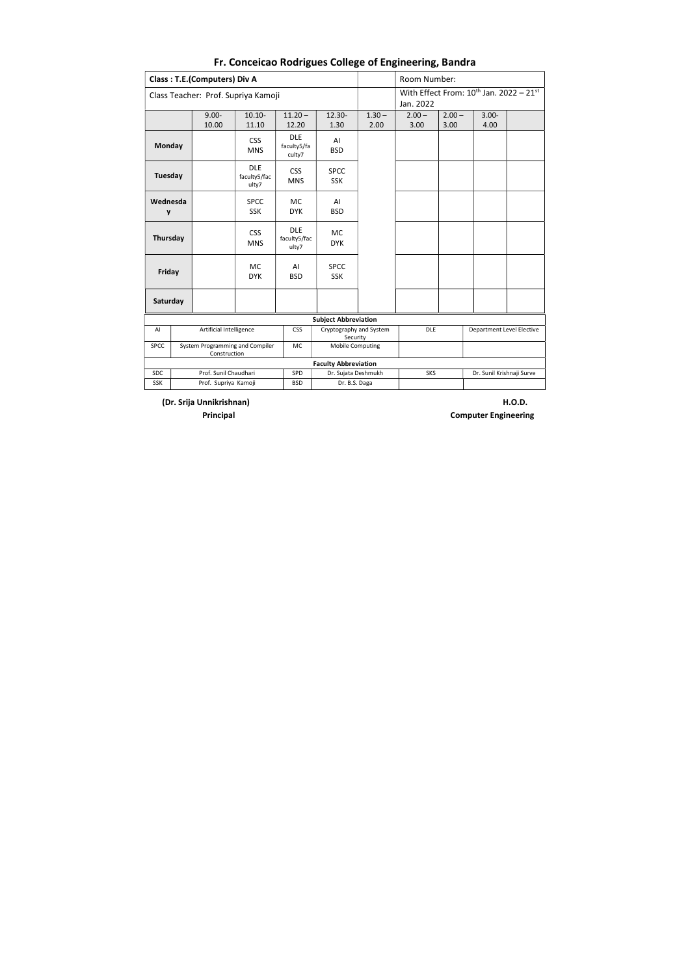(Dr. Srija Unnikrishnan) H.O.D.

|                                                                                                              |  | <b>Class: T.E.(Computers) Div A</b>             |                                     |                                     |                                     |                  | Room Number:                            |                  |                                                     |  |  |  |
|--------------------------------------------------------------------------------------------------------------|--|-------------------------------------------------|-------------------------------------|-------------------------------------|-------------------------------------|------------------|-----------------------------------------|------------------|-----------------------------------------------------|--|--|--|
|                                                                                                              |  | Class Teacher: Prof. Supriya Kamoji             |                                     |                                     |                                     |                  | Jan. 2022                               |                  | With Effect From: $10^{\text{th}}$ Jan. 2022 - 21st |  |  |  |
|                                                                                                              |  | $9.00 -$<br>10.00                               | $10.10 -$<br>11.10                  | $11.20 -$<br>12.20                  | $12.30 -$<br>1.30                   | $1.30 -$<br>2.00 | $2.00 -$<br>3.00                        | $2.00 -$<br>3.00 | $3.00 -$<br>4.00                                    |  |  |  |
| <b>Monday</b>                                                                                                |  |                                                 | <b>CSS</b><br><b>MNS</b>            | <b>DLE</b><br>faculty5/fa<br>culty7 | AI<br><b>BSD</b>                    |                  |                                         |                  |                                                     |  |  |  |
| <b>Tuesday</b>                                                                                               |  |                                                 | <b>DLE</b><br>faculty5/fac<br>ulty7 | <b>CSS</b><br><b>MNS</b>            | <b>SPCC</b><br><b>SSK</b>           |                  |                                         |                  |                                                     |  |  |  |
| Wednesda<br>y                                                                                                |  |                                                 | <b>SPCC</b><br><b>SSK</b>           | <b>MC</b><br><b>DYK</b>             | AI<br><b>BSD</b>                    |                  |                                         |                  |                                                     |  |  |  |
| Thursday                                                                                                     |  |                                                 | <b>CSS</b><br><b>MNS</b>            | <b>DLE</b><br>faculty5/fac<br>ulty7 | <b>MC</b><br><b>DYK</b>             |                  |                                         |                  |                                                     |  |  |  |
| Friday                                                                                                       |  |                                                 | <b>MC</b><br><b>DYK</b>             | AI<br><b>BSD</b>                    | <b>SPCC</b><br><b>SSK</b>           |                  |                                         |                  |                                                     |  |  |  |
| Saturday                                                                                                     |  |                                                 |                                     |                                     |                                     |                  |                                         |                  |                                                     |  |  |  |
|                                                                                                              |  |                                                 |                                     |                                     | <b>Subject Abbreviation</b>         |                  |                                         |                  |                                                     |  |  |  |
| AI                                                                                                           |  | Artificial Intelligence                         |                                     | <b>CSS</b>                          | Cryptography and System<br>Security |                  | DLE<br><b>Department Level Elective</b> |                  |                                                     |  |  |  |
| <b>SPCC</b>                                                                                                  |  | System Programming and Compiler<br>Construction |                                     | MC                                  | Mobile Computing                    |                  |                                         |                  |                                                     |  |  |  |
|                                                                                                              |  |                                                 |                                     |                                     | <b>Faculty Abbreviation</b>         |                  |                                         |                  |                                                     |  |  |  |
| Prof. Sunil Chaudhari<br><b>SDC</b><br>SPD<br>Dr. Sujata Deshmukh<br><b>SKS</b><br>Dr. Sunil Krishnaji Surve |  |                                                 |                                     |                                     |                                     |                  |                                         |                  |                                                     |  |  |  |
| <b>SSK</b>                                                                                                   |  | Prof. Supriya Kamoji                            |                                     | <b>BSD</b>                          | Dr. B.S. Daga                       |                  |                                         |                  |                                                     |  |  |  |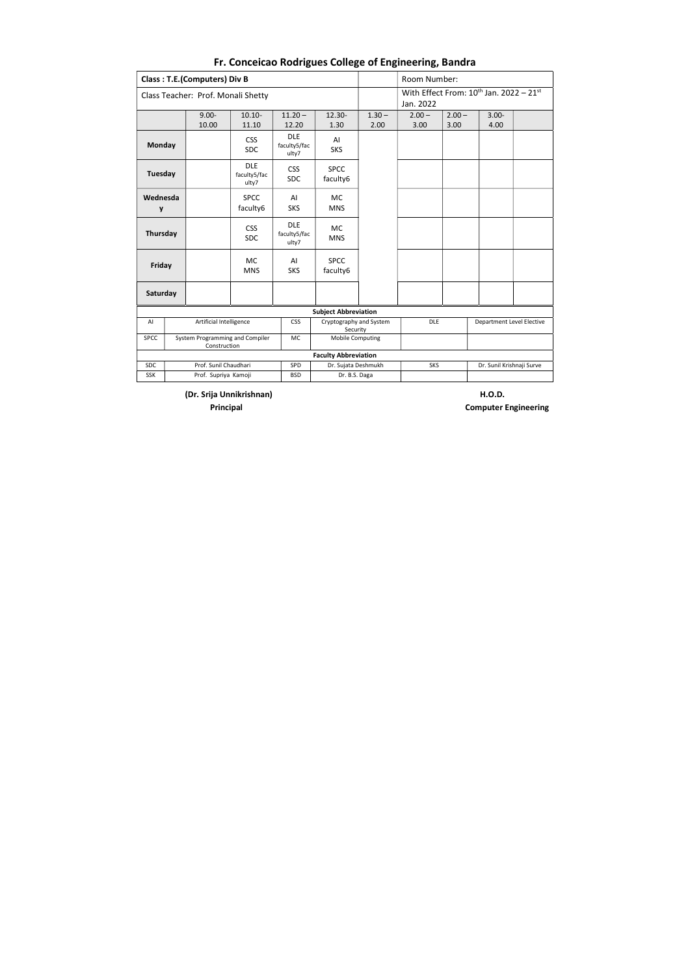(Dr. Srija Unnikrishnan) H.O.D.

|             |                                                                                                                                                                                                                                                                                                                                                                                                                                                                                                                                                                                                                                          |                      |  |            |                                     |                  | Room Number:                                        |                  |                           |  |
|-------------|------------------------------------------------------------------------------------------------------------------------------------------------------------------------------------------------------------------------------------------------------------------------------------------------------------------------------------------------------------------------------------------------------------------------------------------------------------------------------------------------------------------------------------------------------------------------------------------------------------------------------------------|----------------------|--|------------|-------------------------------------|------------------|-----------------------------------------------------|------------------|---------------------------|--|
|             | <b>Class: T.E.(Computers) Div B</b><br>Class Teacher: Prof. Monali Shetty<br>$9.00 -$<br>$10.10 -$<br>$11.20 -$<br>10.00<br>11.10<br>12.20<br><b>DLE</b><br><b>CSS</b><br>Monday<br>faculty5/fac<br><b>SDC</b><br>ulty7<br><b>DLE</b><br><b>CSS</b><br>Tuesday<br>faculty5/fac<br><b>SDC</b><br>ulty7<br><b>SPCC</b><br>Wednesda<br>AI<br>faculty6<br><b>SKS</b><br>y<br><b>DLE</b><br><b>CSS</b><br>Thursday<br>faculty5/fac<br><b>SDC</b><br>ulty7<br><b>MC</b><br>AI<br>Friday<br><b>MNS</b><br><b>SKS</b><br>Saturday<br>Artificial Intelligence<br><b>CSS</b><br>AI<br>System Programming and Compiler<br><b>MC</b><br>Construction |                      |  |            | Jan. 2022                           |                  | With Effect From: $10^{\text{th}}$ Jan. 2022 - 21st |                  |                           |  |
|             |                                                                                                                                                                                                                                                                                                                                                                                                                                                                                                                                                                                                                                          |                      |  |            | $12.30 -$<br>1.30                   | $1.30 -$<br>2.00 | $2.00 -$<br>3.00                                    | $2.00 -$<br>3.00 | $3.00 -$<br>4.00          |  |
|             |                                                                                                                                                                                                                                                                                                                                                                                                                                                                                                                                                                                                                                          |                      |  |            | AI<br><b>SKS</b>                    |                  |                                                     |                  |                           |  |
|             |                                                                                                                                                                                                                                                                                                                                                                                                                                                                                                                                                                                                                                          |                      |  |            | <b>SPCC</b><br>faculty6             |                  |                                                     |                  |                           |  |
|             |                                                                                                                                                                                                                                                                                                                                                                                                                                                                                                                                                                                                                                          |                      |  |            | <b>MC</b><br><b>MNS</b>             |                  |                                                     |                  |                           |  |
|             |                                                                                                                                                                                                                                                                                                                                                                                                                                                                                                                                                                                                                                          |                      |  |            | <b>MC</b><br><b>MNS</b>             |                  |                                                     |                  |                           |  |
|             |                                                                                                                                                                                                                                                                                                                                                                                                                                                                                                                                                                                                                                          |                      |  |            | <b>SPCC</b><br>faculty6             |                  |                                                     |                  |                           |  |
|             |                                                                                                                                                                                                                                                                                                                                                                                                                                                                                                                                                                                                                                          |                      |  |            |                                     |                  |                                                     |                  |                           |  |
|             |                                                                                                                                                                                                                                                                                                                                                                                                                                                                                                                                                                                                                                          |                      |  |            | <b>Subject Abbreviation</b>         |                  |                                                     |                  |                           |  |
|             |                                                                                                                                                                                                                                                                                                                                                                                                                                                                                                                                                                                                                                          |                      |  |            | Cryptography and System<br>Security |                  | <b>DLE</b>                                          |                  | Department Level Elective |  |
| <b>SPCC</b> |                                                                                                                                                                                                                                                                                                                                                                                                                                                                                                                                                                                                                                          |                      |  |            | <b>Mobile Computing</b>             |                  |                                                     |                  |                           |  |
|             |                                                                                                                                                                                                                                                                                                                                                                                                                                                                                                                                                                                                                                          |                      |  |            | <b>Faculty Abbreviation</b>         |                  |                                                     |                  |                           |  |
| <b>SDC</b>  | Prof. Sunil Chaudhari<br>SPD<br>Dr. Sujata Deshmukh<br><b>SKS</b><br>Dr. Sunil Krishnaji Surve<br>Dr. B.S. Daga                                                                                                                                                                                                                                                                                                                                                                                                                                                                                                                          |                      |  |            |                                     |                  |                                                     |                  |                           |  |
| <b>SSK</b>  |                                                                                                                                                                                                                                                                                                                                                                                                                                                                                                                                                                                                                                          | Prof. Supriya Kamoji |  | <b>BSD</b> |                                     |                  |                                                     |                  |                           |  |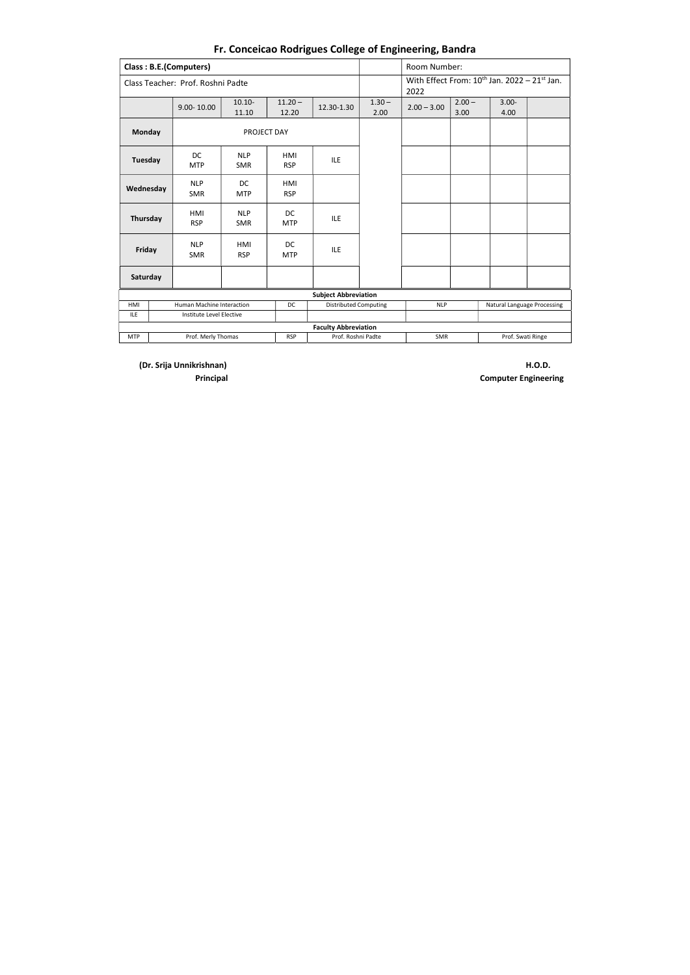(Dr. Srija Unnikrishnan) H.O.D.

|                    |  | <b>Class: B.E.(Computers)</b>     |                          |                         |                              |                  | Room Number:                                                     |                  |                             |  |  |  |
|--------------------|--|-----------------------------------|--------------------------|-------------------------|------------------------------|------------------|------------------------------------------------------------------|------------------|-----------------------------|--|--|--|
|                    |  | Class Teacher: Prof. Roshni Padte |                          |                         |                              |                  | With Effect From: $10^{\text{th}}$ Jan. 2022 - 21st Jan.<br>2022 |                  |                             |  |  |  |
|                    |  | $9.00 - 10.00$                    | $10.10 -$<br>11.10       | $11.20 -$<br>12.20      | 12.30-1.30                   | $1.30 -$<br>2.00 | $2.00 - 3.00$                                                    | $2.00 -$<br>3.00 | $3.00 -$<br>4.00            |  |  |  |
| <b>Monday</b>      |  |                                   | PROJECT DAY              |                         |                              |                  |                                                                  |                  |                             |  |  |  |
| <b>Tuesday</b>     |  | DC.<br><b>MTP</b>                 | <b>NLP</b><br><b>SMR</b> | HMI<br><b>RSP</b>       | <b>ILE</b>                   |                  |                                                                  |                  |                             |  |  |  |
| Wednesday          |  | <b>NLP</b><br><b>SMR</b>          | DC.<br><b>MTP</b>        | HMI<br><b>RSP</b>       |                              |                  |                                                                  |                  |                             |  |  |  |
|                    |  | HMI<br><b>RSP</b>                 | <b>NLP</b><br><b>SMR</b> | <b>DC</b><br><b>MTP</b> | <b>ILE</b>                   |                  |                                                                  |                  |                             |  |  |  |
| Thursday<br>Friday |  | <b>NLP</b><br><b>SMR</b>          | HMI<br><b>RSP</b>        | DC<br><b>MTP</b>        | <b>ILE</b>                   |                  |                                                                  |                  |                             |  |  |  |
| Saturday           |  |                                   |                          |                         |                              |                  |                                                                  |                  |                             |  |  |  |
|                    |  |                                   |                          |                         | <b>Subject Abbreviation</b>  |                  |                                                                  |                  |                             |  |  |  |
| HMI                |  | Human Machine Interaction         |                          | <b>DC</b>               | <b>Distributed Computing</b> |                  | <b>NLP</b>                                                       |                  | Natural Language Processing |  |  |  |
| <b>ILE</b>         |  | Institute Level Elective          |                          |                         |                              |                  |                                                                  |                  |                             |  |  |  |
|                    |  |                                   |                          |                         | <b>Faculty Abbreviation</b>  |                  |                                                                  |                  |                             |  |  |  |
| <b>MTP</b>         |  | Prof. Merly Thomas                |                          | <b>RSP</b>              | Prof. Roshni Padte           |                  | <b>SMR</b>                                                       |                  | Prof. Swati Ringe           |  |  |  |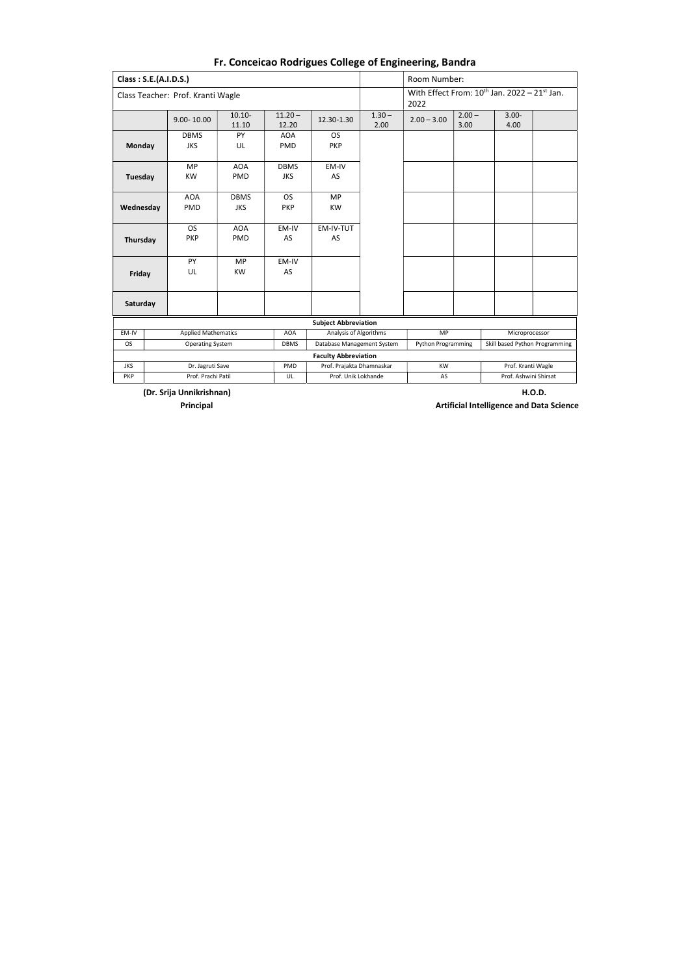(Dr. Srija Unnikrishnan) H.O.D. Principal **Artificial Intelligence and Data Science Principal** 

| Class: S.E.(A.I.D.S.) |  |                                   |                           |                           |                                                           |                  | Room Number:                                              |                  |                                |  |  |
|-----------------------|--|-----------------------------------|---------------------------|---------------------------|-----------------------------------------------------------|------------------|-----------------------------------------------------------|------------------|--------------------------------|--|--|
|                       |  | Class Teacher: Prof. Kranti Wagle |                           |                           |                                                           |                  | With Effect From: $10^{th}$ Jan. 2022 - 21st Jan.<br>2022 |                  |                                |  |  |
|                       |  | 9.00-10.00                        | $10.10 -$<br>11.10        | $11.20 -$<br>12.20        | 12.30-1.30                                                | $1.30 -$<br>2.00 | $2.00 - 3.00$                                             | $2.00 -$<br>3.00 | $3.00 -$<br>4.00               |  |  |
| Monday                |  | <b>DBMS</b><br><b>JKS</b>         | PY<br>UL                  | <b>AOA</b><br><b>PMD</b>  | <b>OS</b><br><b>PKP</b>                                   |                  |                                                           |                  |                                |  |  |
| <b>Tuesday</b>        |  | <b>MP</b><br><b>KW</b>            | <b>AOA</b><br><b>PMD</b>  | <b>DBMS</b><br><b>JKS</b> | EM-IV<br>AS                                               |                  |                                                           |                  |                                |  |  |
| Wednesday             |  | <b>AOA</b><br>PMD                 | <b>DBMS</b><br><b>JKS</b> | <b>OS</b><br><b>PKP</b>   | <b>MP</b><br><b>KW</b>                                    |                  |                                                           |                  |                                |  |  |
| Thursday              |  | <b>OS</b><br><b>PKP</b>           | <b>AOA</b><br><b>PMD</b>  | EM-IV<br>AS               | EM-IV-TUT<br>AS                                           |                  |                                                           |                  |                                |  |  |
| Friday                |  | PY<br>UL                          | <b>MP</b><br><b>KW</b>    | EM-IV<br>AS               |                                                           |                  |                                                           |                  |                                |  |  |
| Saturday              |  |                                   |                           |                           |                                                           |                  |                                                           |                  |                                |  |  |
|                       |  |                                   |                           |                           | <b>Subject Abbreviation</b>                               |                  |                                                           |                  |                                |  |  |
| EM-IV                 |  | <b>Applied Mathematics</b>        |                           | <b>AOA</b>                | Analysis of Algorithms                                    |                  | <b>MP</b>                                                 |                  | Microprocessor                 |  |  |
| <b>OS</b>             |  | <b>Operating System</b>           |                           | <b>DBMS</b>               | Database Management System<br><b>Faculty Abbreviation</b> |                  | <b>Python Programming</b>                                 |                  | Skill based Python Programming |  |  |
| <b>JKS</b>            |  | Dr. Jagruti Save                  |                           | PMD                       | Prof. Prajakta Dhamnaskar                                 |                  | <b>KW</b>                                                 |                  | Prof. Kranti Wagle             |  |  |
| <b>PKP</b>            |  | Prof. Prachi Patil                |                           | UL                        | Prof. Unik Lokhande                                       |                  | AS                                                        |                  | Prof. Ashwini Shirsat          |  |  |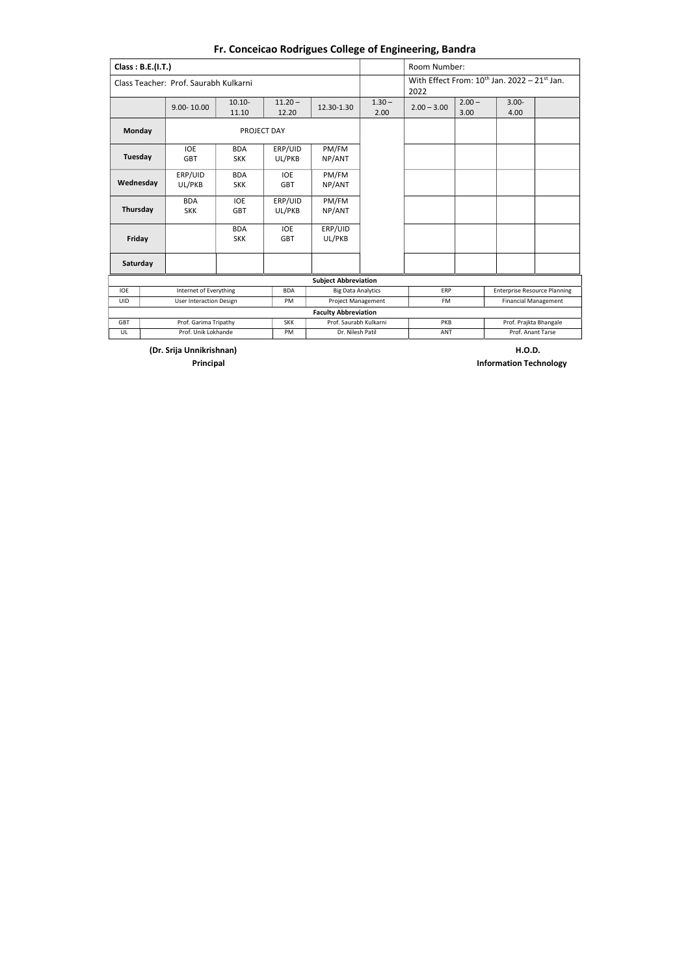(Dr. Srija Unnikrishnan) H.O.D.

**Principal Information Technology** 

|            | Class: B.E.(I.T.) |                                       |                          |                          |                             |                  | Room Number:  |                                                   |                                     |  |  |
|------------|-------------------|---------------------------------------|--------------------------|--------------------------|-----------------------------|------------------|---------------|---------------------------------------------------|-------------------------------------|--|--|
|            |                   | Class Teacher: Prof. Saurabh Kulkarni |                          |                          |                             |                  | 2022          | With Effect From: $10^{th}$ Jan. 2022 - 21st Jan. |                                     |  |  |
|            |                   | $9.00 - 10.00$                        | $10.10 -$<br>11.10       | $11.20 -$<br>12.20       | 12.30-1.30                  | $1.30 -$<br>2.00 | $2.00 - 3.00$ | $2.00 -$<br>3.00                                  | $3.00 -$<br>4.00                    |  |  |
| Monday     |                   |                                       | PROJECT DAY              |                          |                             |                  |               |                                                   |                                     |  |  |
| Tuesday    |                   | <b>IOE</b><br><b>GBT</b>              | <b>BDA</b><br><b>SKK</b> | ERP/UID<br>UL/PKB        | PM/FM<br>NP/ANT             |                  |               |                                                   |                                     |  |  |
| Wednesday  |                   | ERP/UID<br>UL/PKB                     | <b>BDA</b><br><b>SKK</b> | <b>IOE</b><br><b>GBT</b> | PM/FM<br>NP/ANT             |                  |               |                                                   |                                     |  |  |
| Thursday   |                   | <b>BDA</b><br><b>SKK</b>              | <b>IOE</b><br><b>GBT</b> | ERP/UID<br>UL/PKB        | PM/FM<br>NP/ANT             |                  |               |                                                   |                                     |  |  |
| Friday     |                   |                                       | <b>BDA</b><br><b>SKK</b> | <b>IOE</b><br><b>GBT</b> | ERP/UID<br>UL/PKB           |                  |               |                                                   |                                     |  |  |
|            | Saturday          |                                       |                          |                          |                             |                  |               |                                                   |                                     |  |  |
|            |                   |                                       |                          |                          | <b>Subject Abbreviation</b> |                  |               |                                                   |                                     |  |  |
| <b>IOE</b> |                   | Internet of Everything                |                          | <b>BDA</b>               | <b>Big Data Analytics</b>   |                  | ERP           |                                                   | <b>Enterprise Resource Planning</b> |  |  |
| <b>UID</b> |                   | <b>User Interaction Design</b>        |                          | PM                       | <b>Project Management</b>   |                  | <b>FM</b>     |                                                   | <b>Financial Management</b>         |  |  |
|            |                   |                                       |                          |                          | <b>Faculty Abbreviation</b> |                  |               |                                                   |                                     |  |  |
| <b>GBT</b> |                   | Prof. Garima Tripathy                 |                          | <b>SKK</b>               | Prof. Saurabh Kulkarni      |                  | PKB           |                                                   | Prof. Prajkta Bhangale              |  |  |
| UL         |                   | Prof. Unik Lokhande                   |                          | PM                       | Dr. Nilesh Patil            |                  | <b>ANT</b>    | Prof. Anant Tarse                                 |                                     |  |  |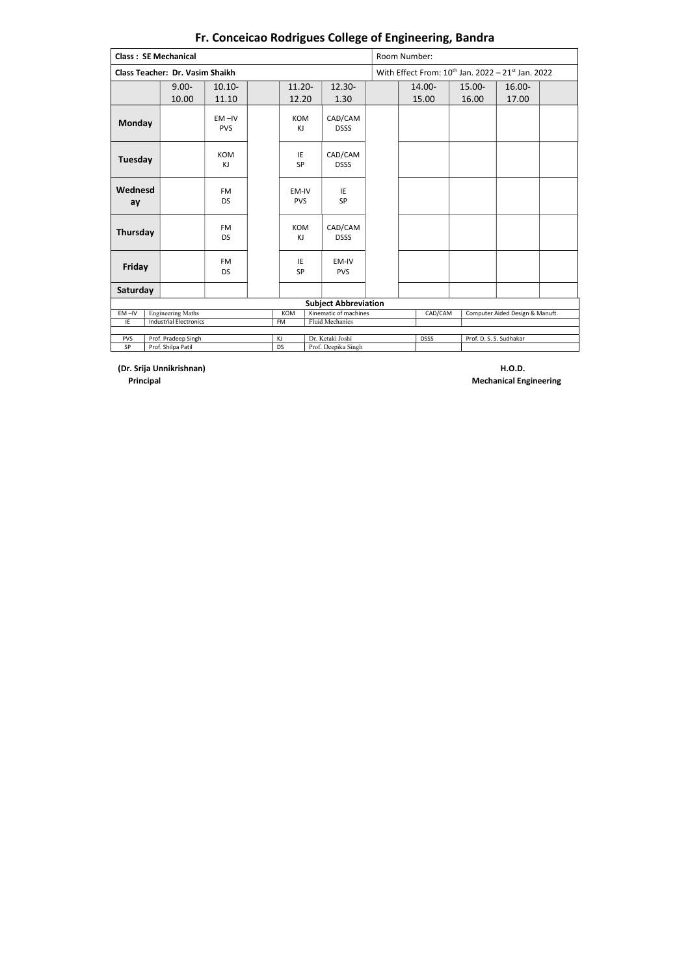(Dr. Srija Unnikrishnan) H.O.D.

|                | <b>Class: SE Mechanical</b>            |                         |                     |                             | Room Number:                                           |  |                                                                               |                 |  |  |
|----------------|----------------------------------------|-------------------------|---------------------|-----------------------------|--------------------------------------------------------|--|-------------------------------------------------------------------------------|-----------------|--|--|
|                | <b>Class Teacher: Dr. Vasim Shaikh</b> |                         |                     |                             | With Effect From: $10^{th}$ Jan. 2022 - 21st Jan. 2022 |  |                                                                               |                 |  |  |
|                | $9.00 -$<br>10.00                      | $10.10 -$<br>11.10      | 11.20-<br>12.20     | $12.30 -$<br>1.30           | 14.00-<br>15.00                                        |  |                                                                               | 16.00-<br>17.00 |  |  |
| <b>Monday</b>  |                                        | $EM - IV$<br><b>PVS</b> | <b>KOM</b><br>KJ    | CAD/CAM<br><b>DSSS</b>      |                                                        |  |                                                                               |                 |  |  |
| <b>Tuesday</b> |                                        | KOM<br>KJ               | IE<br>SP            | CAD/CAM<br><b>DSSS</b>      |                                                        |  |                                                                               |                 |  |  |
| Wednesd<br>ay  |                                        | <b>FM</b><br><b>DS</b>  | EM-IV<br><b>PVS</b> | IE<br>SP                    |                                                        |  |                                                                               |                 |  |  |
| Thursday       |                                        | <b>FM</b><br><b>DS</b>  | <b>KOM</b><br>KJ    | CAD/CAM<br><b>DSSS</b>      |                                                        |  |                                                                               |                 |  |  |
| Friday         |                                        | <b>FM</b><br><b>DS</b>  | IE<br>SP            | EM-IV<br><b>PVS</b>         |                                                        |  |                                                                               |                 |  |  |
| Saturday       |                                        |                         |                     |                             |                                                        |  |                                                                               |                 |  |  |
|                |                                        |                         |                     | <b>Subject Abbreviation</b> |                                                        |  |                                                                               |                 |  |  |
| $EM -IV$       | <b>Engineering Maths</b>               |                         | KOM                 | Kinematic of machines       | CAD/CAM                                                |  | 15.00-<br>16.00<br>Computer Aided Design & Manuft.<br>Prof. D. S. S. Sudhakar |                 |  |  |
| IE             | <b>Industrial Electronics</b>          |                         | FM                  | Fluid Mechanics             |                                                        |  |                                                                               |                 |  |  |
| PVS            | Prof. Pradeep Singh                    |                         | KJ                  | Dr. Ketaki Joshi            | <b>DSSS</b>                                            |  |                                                                               |                 |  |  |
| SP             | Prof. Shilpa Patil                     |                         | <b>DS</b>           | Prof. Deepika Singh         |                                                        |  |                                                                               |                 |  |  |

Principal Mechanical Engineering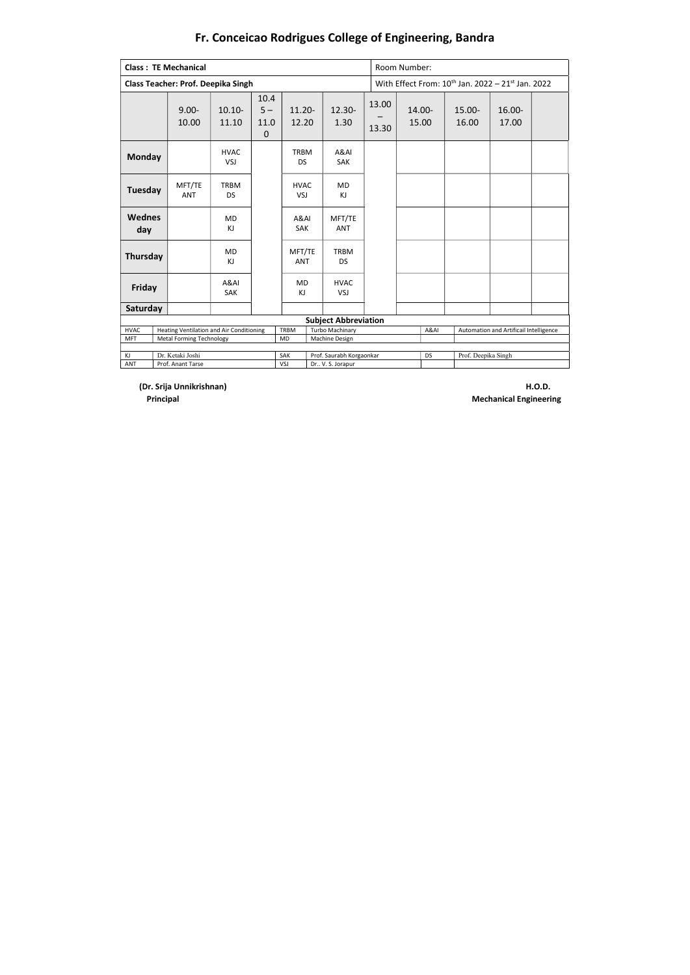(Dr. Srija Unnikrishnan) H.O.D.

|                           | <b>Class: TE Mechanical</b>                                                 |                           |                                      |                          |                                   |                | Room Number:                                           |                     |                                        |  |  |  |
|---------------------------|-----------------------------------------------------------------------------|---------------------------|--------------------------------------|--------------------------|-----------------------------------|----------------|--------------------------------------------------------|---------------------|----------------------------------------|--|--|--|
|                           | <b>Class Teacher: Prof. Deepika Singh</b>                                   |                           |                                      |                          |                                   |                | With Effect From: $10^{th}$ Jan. 2022 - 21st Jan. 2022 |                     |                                        |  |  |  |
|                           | $9.00 -$<br>10.00                                                           | $10.10 -$<br>11.10        | 10.4<br>$5 -$<br>11.0<br>$\mathbf 0$ | $11.20 -$<br>12.20       | $12.30 -$<br>1.30                 | 13.00<br>13.30 | 14.00-<br>15.00                                        | $15.00 -$<br>16.00  | $16.00 -$<br>17.00                     |  |  |  |
| <b>Monday</b>             |                                                                             | <b>HVAC</b><br><b>VSJ</b> |                                      | <b>TRBM</b><br><b>DS</b> | A&AI<br><b>SAK</b>                |                |                                                        |                     |                                        |  |  |  |
| Tuesday                   | MFT/TE<br><b>ANT</b>                                                        | <b>TRBM</b><br><b>DS</b>  |                                      | <b>HVAC</b><br>VSJ       | <b>MD</b><br>KJ                   |                |                                                        |                     |                                        |  |  |  |
| <b>Wednes</b><br>day      |                                                                             | <b>MD</b><br>KJ           |                                      | A&AI<br><b>SAK</b>       | MFT/TE<br><b>ANT</b>              |                |                                                        |                     |                                        |  |  |  |
| Thursday                  |                                                                             | <b>MD</b><br>KJ           |                                      | MFT/TE<br><b>ANT</b>     | <b>TRBM</b><br><b>DS</b>          |                |                                                        |                     |                                        |  |  |  |
| Friday                    |                                                                             | A&AI<br>SAK               |                                      | <b>MD</b><br>KJ          | <b>HVAC</b><br>VSJ                |                |                                                        |                     |                                        |  |  |  |
| Saturday                  |                                                                             |                           |                                      |                          |                                   |                |                                                        |                     |                                        |  |  |  |
|                           |                                                                             |                           |                                      |                          | <b>Subject Abbreviation</b>       |                |                                                        |                     |                                        |  |  |  |
| <b>HVAC</b><br><b>MFT</b> | Heating Ventilation and Air Conditioning<br><b>Metal Forming Technology</b> |                           |                                      | <b>TRBM</b><br><b>MD</b> | Turbo Machinary<br>Machine Design |                | A&AI                                                   |                     | Automation and Artificail Intelligence |  |  |  |
|                           |                                                                             |                           |                                      |                          |                                   |                |                                                        |                     |                                        |  |  |  |
| KJ                        | Dr. Ketaki Joshi                                                            |                           |                                      | SAK                      | Prof. Saurabh Korgaonkar          |                | <b>DS</b>                                              | Prof. Deepika Singh |                                        |  |  |  |
| <b>ANT</b>                | Prof. Anant Tarse                                                           |                           |                                      | VSJ                      | Dr V. S. Jorapur                  |                |                                                        |                     |                                        |  |  |  |

Principal Mechanical Engineering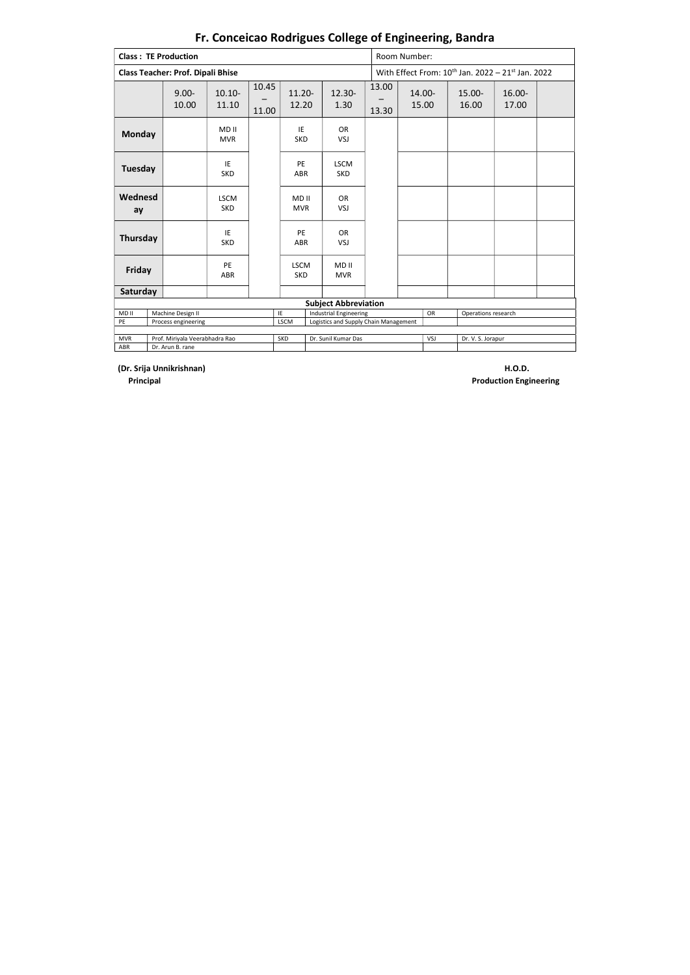(Dr. Srija Unnikrishnan) H.O.D. Production Engineering

|               | <b>Class: TE Production</b>              |                           |                               |                           |                                       |                     | Room Number:                                                              |                    |                 |  |  |  |
|---------------|------------------------------------------|---------------------------|-------------------------------|---------------------------|---------------------------------------|---------------------|---------------------------------------------------------------------------|--------------------|-----------------|--|--|--|
|               | <b>Class Teacher: Prof. Dipali Bhise</b> |                           |                               |                           |                                       |                     | With Effect From: 10 <sup>th</sup> Jan. 2022 - 21 <sup>st</sup> Jan. 2022 |                    |                 |  |  |  |
|               | $9.00 -$<br>10.00                        | $10.10 -$<br>11.10        | 10.45<br>11.00                | $11.20 -$<br>12.20        | $12.30 -$<br>1.30                     | 13.00<br>13.30      | 14.00-<br>15.00                                                           | $15.00 -$<br>16.00 | 16.00-<br>17.00 |  |  |  |
| <b>Monday</b> |                                          | MD II<br><b>MVR</b>       |                               | IE<br><b>SKD</b>          | <b>OR</b><br>VSJ                      |                     |                                                                           |                    |                 |  |  |  |
| Tuesday       |                                          | IE<br><b>SKD</b>          |                               | PE<br><b>ABR</b>          | <b>LSCM</b><br><b>SKD</b>             |                     |                                                                           |                    |                 |  |  |  |
| Wednesd<br>ay |                                          | <b>LSCM</b><br><b>SKD</b> |                               | MD II<br><b>MVR</b>       | <b>OR</b><br>VSJ                      |                     |                                                                           |                    |                 |  |  |  |
| Thursday      |                                          | IE<br><b>SKD</b>          |                               | PE<br>ABR                 | <b>OR</b><br>VSJ                      |                     |                                                                           |                    |                 |  |  |  |
| Friday        |                                          | PE<br>ABR                 |                               | <b>LSCM</b><br><b>SKD</b> | MD II<br><b>MVR</b>                   |                     |                                                                           |                    |                 |  |  |  |
| Saturday      |                                          |                           |                               |                           |                                       |                     |                                                                           |                    |                 |  |  |  |
|               |                                          |                           |                               |                           | <b>Subject Abbreviation</b>           |                     |                                                                           |                    |                 |  |  |  |
| MD II         | Machine Design II                        | IE                        | <b>Industrial Engineering</b> |                           | OR                                    | Operations research |                                                                           |                    |                 |  |  |  |
| PE            | Process engineering                      |                           |                               | <b>LSCM</b>               | Logistics and Supply Chain Management |                     |                                                                           |                    |                 |  |  |  |
| <b>MVR</b>    | Prof. Miriyala Veerabhadra Rao           |                           |                               | <b>SKD</b>                | Dr. Sunil Kumar Das                   |                     | VSJ                                                                       | Dr. V. S. Jorapur  |                 |  |  |  |
| ABR           | Dr. Arun B. rane                         |                           |                               |                           |                                       |                     |                                                                           |                    |                 |  |  |  |